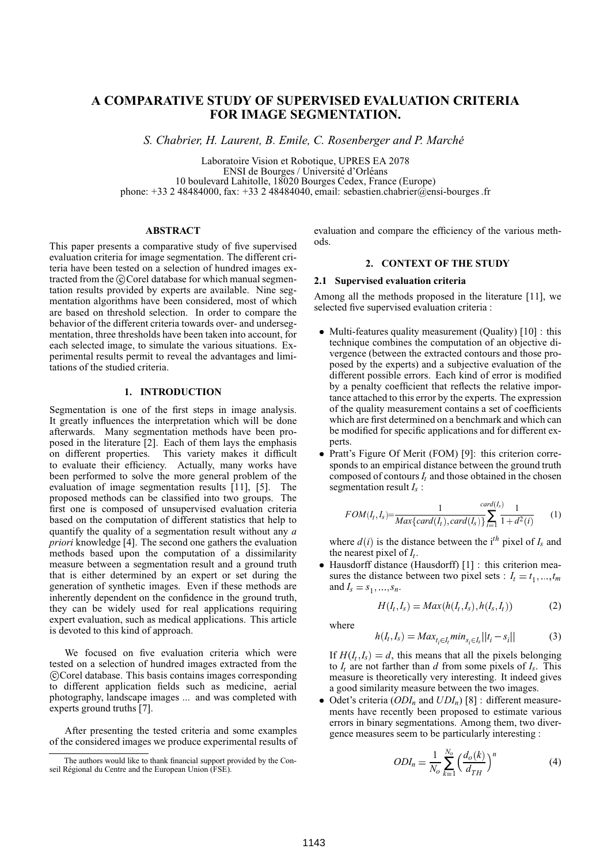# **A COMPARATIVE STUDY OF SUPERVISED EVALUATION CRITERIA FOR IMAGE SEGMENTATION.**

*S. Chabrier, H. Laurent, B. Emile, C. Rosenberger and P. Marche´*

Laboratoire Vision et Robotique, UPRES EA 2078 ENSI de Bourges / Université d'Orléans 10 boulevard Lahitolle, 18020 Bourges Cedex, France (Europe) phone:  $+33$  2 48484000, fax:  $+33$  2 48484040, email: sebastien.chabrier@ensi-bourges .fr

# **ABSTRACT**

This paper presents a comparative study of five supervised evaluation criteria for image segmentation. The different criteria have been tested on a selection of hundred images extracted from the ©Corel database for which manual segmentation results provided by experts are available. Nine segmentation algorithms have been considered, most of which are based on threshold selection. In order to compare the behavior of the different criteria towards over- and undersegmentation, three thresholds have been taken into account, for each selected image, to simulate the various situations. Experimental results permit to reveal the advantages and limitations of the studied criteria.

# **1. INTRODUCTION**

Segmentation is one of the first steps in image analysis. It greatly influences the interpretation which will be done afterwards. Many segmentation methods have been proposed in the literature [2]. Each of them lays the emphasis on different properties. This variety makes it difficult to evaluate their efficiency. Actually, many works have been performed to solve the more general problem of the evaluation of image segmentation results [11], [5]. The proposed methods can be classified into two groups. The first one is composed of unsupervised evaluation criteria based on the computation of different statistics that help to quantify the quality of a segmentation result without any *a priori* knowledge [4]. The second one gathers the evaluation methods based upon the computation of a dissimilarity measure between a segmentation result and a ground truth that is either determined by an expert or set during the generation of synthetic images. Even if these methods are inherently dependent on the confidence in the ground truth, they can be widely used for real applications requiring expert evaluation, such as medical applications. This article is devoted to this kind of approach.

We focused on five evaluation criteria which were tested on a selection of hundred images extracted from the c Corel database. This basis contains images corresponding to different application fields such as medicine, aerial photography, landscape images ... and was completed with experts ground truths [7].

After presenting the tested criteria and some examples of the considered images we produce experimental results of evaluation and compare the efficiency of the various methods.

# **2. CONTEXT OF THE STUDY**

#### **2.1 Supervised evaluation criteria**

Among all the methods proposed in the literature [11], we selected five supervised evaluation criteria :

- Multi-features quality measurement (Quality) [10] : this technique combines the computation of an objective divergence (between the extracted contours and those proposed by the experts) and a subjective evaluation of the different possible errors. Each kind of error is modified by a penalty coefficient that reflects the relative importance attached to this error by the experts. The expression of the quality measurement contains a set of coefficients which are first determined on a benchmark and which can be modified for specific applications and for different experts.
- Pratt's Figure Of Merit (FOM) [9]: this criterion corresponds to an empirical distance between the ground truth composed of contours  $I_t$  and those obtained in the chosen segmentation result *I<sup>s</sup>* :

$$
FOM(I_t, I_s) = \frac{1}{Max\{card(I_t), card(I_s)\}} \sum_{i=1}^{card(I_s)} \frac{1}{1+d^2(i)} \qquad (1)
$$

where  $d(i)$  is the distance between the i<sup>th</sup> pixel of  $I_s$  and the nearest pixel of *I<sup>t</sup>* .

 Hausdorff distance (Hausdorff) [1] : this criterion measures the distance between two pixel sets :  $I_t = t_1, \ldots, t_m$ and  $I_s = s_1, ..., s_n$ .

$$
H(I_t, I_s) = Max(h(I_t, I_s), h(I_s, I_t))
$$
\n(2)

where

$$
h(I_t, I_s) = Max_{t_i \in I_t} min_{s_i \in I_s} ||t_i - s_i||
$$
\n(3)

If  $H(I_t, I_s) = d$ , this means that all the pixels belonging to  $I_t$  are not farther than  $d$  from some pixels of  $I_s$ . This measure is theoretically very interesting. It indeed gives a good similarity measure between the two images.

 $\bullet$  Odet's criteria (*ODI<sub>n</sub>* and *UDI<sub>n</sub>*) [8] : different measurements have recently been proposed to estimate various errors in binary segmentations. Among them, two divergence measures seem to be particularly interesting :

$$
ODI_n = \frac{1}{N_o} \sum_{k=1}^{N_o} \left(\frac{d_o(k)}{d_{TH}}\right)^n \tag{4}
$$

The authors would like to thank financial support provided by the Conseil Régional du Centre and the European Union (FSE).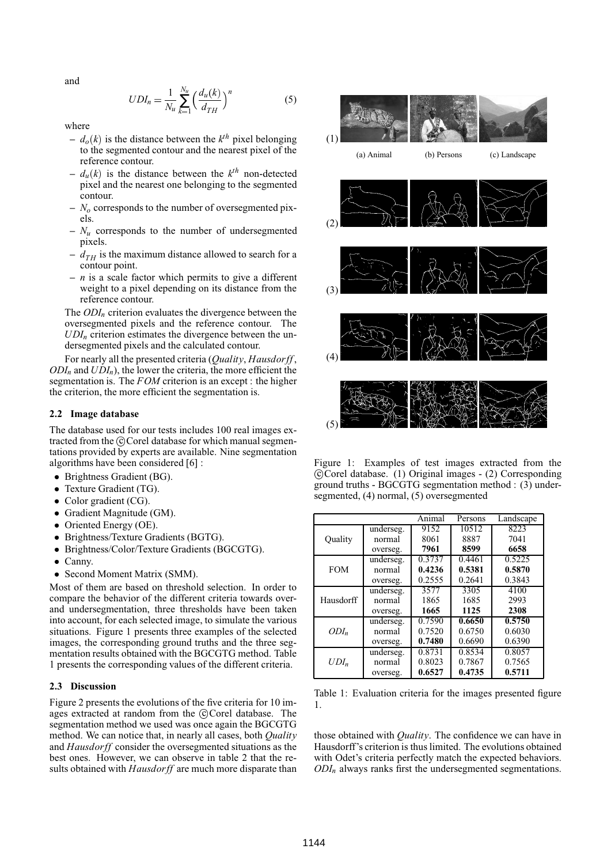and

$$
UDI_n = \frac{1}{N_u} \sum_{k=1}^{N_u} \left(\frac{d_u(k)}{d_{TH}}\right)^n
$$
 (5)

where

- $d_o(k)$  is the distance between the  $k^{th}$  pixel belonging to the segmented contour and the nearest pixel of the reference contour.
- $d_u(k)$  is the distance between the  $k^{th}$  non-detected pixel and the nearest one belonging to the segmented contour.
- **–** *N<sup>o</sup>* corresponds to the number of oversegmented pixels.
- **–** *N<sup>u</sup>* corresponds to the number of undersegmented pixels.
- $d_{TH}$  is the maximum distance allowed to search for a contour point.
- **–** *n* is a scale factor which permits to give a different weight to a pixel depending on its distance from the reference contour.

The *ODI<sup>n</sup>* criterion evaluates the divergence between the oversegmented pixels and the reference contour. The  $UDI<sub>n</sub>$  criterion estimates the divergence between the undersegmented pixels and the calculated contour.

For nearly all the presented criteria (*Quality*, *Hausdorff* ,  $ODI_n$  and  $UDI_n$ ), the lower the criteria, the more efficient the segmentation is. The *FOM* criterion is an except : the higher the criterion, the more efficient the segmentation is.

## **2.2 Image database**

The database used for our tests includes 100 real images extracted from the ©Corel database for which manual segmentations provided by experts are available. Nine segmentation algorithms have been considered [6] :

- Brightness Gradient (BG).
- Texture Gradient (TG).
- Color gradient (CG).
- Gradient Magnitude (GM).
- Oriented Energy (OE).
- Brightness/Texture Gradients (BGTG).
- Brightness/Color/Texture Gradients (BGCGTG).
- Canny.
- Second Moment Matrix (SMM).

Most of them are based on threshold selection. In order to compare the behavior of the different criteria towards overand undersegmentation, three thresholds have been taken into account, for each selected image, to simulate the various situations. Figure 1 presents three examples of the selected images, the corresponding ground truths and the three segmentation results obtained with the BGCGTG method. Table 1 presents the corresponding values of the different criteria.

#### **2.3 Discussion**

Figure 2 presents the evolutions of the five criteria for 10 images extracted at random from the ©Corel database. The segmentation method we used was once again the BGCGTG method. We can notice that, in nearly all cases, both *Quality* and *Hausdorff* consider the oversegmented situations as the best ones. However, we can observe in table 2 that the results obtained with *Hausdorff* are much more disparate than





Figure 1: Examples of test images extracted from the c Corel database. (1) Original images - (2) Corresponding ground truths - BGCGTG segmentation method : (3) undersegmented, (4) normal, (5) oversegmented

|            |           | Animal | Persons | Landscape |
|------------|-----------|--------|---------|-----------|
|            | underseg. | 9152   | 10512   | 8223      |
| Quality    | normal    | 8061   | 8887    | 7041      |
|            | overseg.  | 7961   | 8599    | 6658      |
| <b>FOM</b> | underseg. | 0.3737 | 0.4461  | 0.5225    |
|            | normal    | 0.4236 | 0.5381  | 0.5870    |
|            | overseg.  | 0.2555 | 0.2641  | 0.3843    |
| Hausdorff  | underseg. | 3577   | 3305    | 4100      |
|            | normal    | 1865   | 1685    | 2993      |
|            | overseg.  | 1665   | 1125    | 2308      |
| $ODI_n$    | underseg. | 0.7590 | 0.6650  | 0.5750    |
|            | normal    | 0.7520 | 0.6750  | 0.6030    |
|            | overseg.  | 0.7480 | 0.6690  | 0.6390    |
| $UDI_n$    | underseg. | 0.8731 | 0.8534  | 0.8057    |
|            | normal    | 0.8023 | 0.7867  | 0.7565    |
|            | overseg.  | 0.6527 | 0.4735  | 0.5711    |

Table 1: Evaluation criteria for the images presented figure 1.

those obtained with *Quality*. The confidence we can have in Hausdorff's criterion is thus limited. The evolutions obtained with Odet's criteria perfectly match the expected behaviors. *ODI<sup>n</sup>* always ranks first the undersegmented segmentations.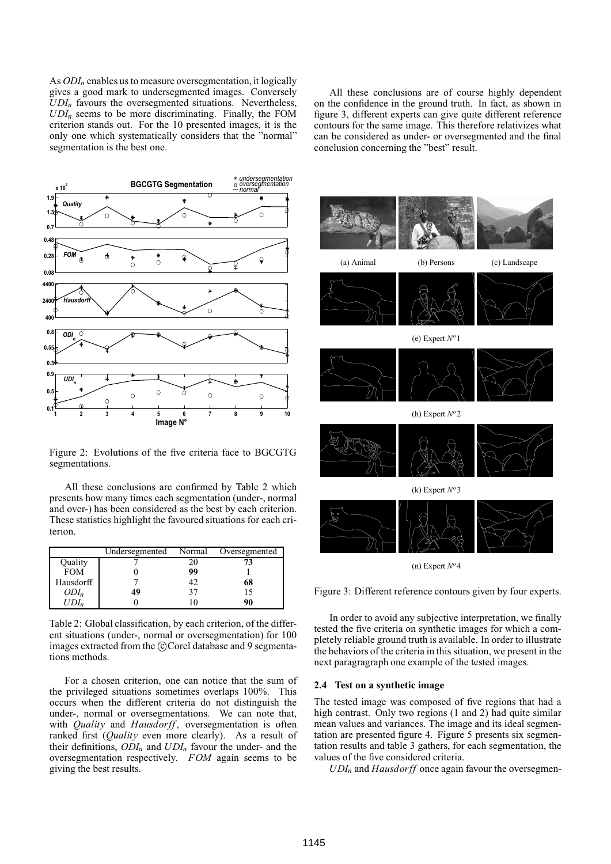As *ODI<sup>n</sup>* enables us to measure oversegmentation, it logically gives a good mark to undersegmented images. Conversely  $UDI<sub>n</sub>$  favours the oversegmented situations. Nevertheless,  $UDI_n$  seems to be more discriminating. Finally, the FOM criterion stands out. For the 10 presented images, it is the only one which systematically considers that the "normal" segmentation is the best one.



Figure 2: Evolutions of the five criteria face to BGCGTG segmentations.

All these conclusions are confirmed by Table 2 which presents how many times each segmentation (under-, normal and over-) has been considered as the best by each criterion. These statistics highlight the favoured situations for each criterion.

|            | Undersegmented | Normal | Oversegmented |  |
|------------|----------------|--------|---------------|--|
| Quality    |                |        |               |  |
| <b>FOM</b> |                | 99     |               |  |
| Hausdorff  |                | 42     | 68            |  |
| $ODI_n$    | 49             | 37     |               |  |
| ' /Dl.     |                |        | 90            |  |

Table 2: Global classification, by each criterion, of the different situations (under-, normal or oversegmentation) for 100 images extracted from the ©Corel database and 9 segmentations methods.

For a chosen criterion, one can notice that the sum of the privileged situations sometimes overlaps 100%. This occurs when the different criteria do not distinguish the under-, normal or oversegmentations. We can note that, with *Quality* and *Hausdorff*, oversegmentation is often ranked first (*Quality* even more clearly). As a result of their definitions,  $ODI_n$  and  $UDI_n$  favour the under- and the oversegmentation respectively. *FOM* again seems to be giving the best results.

All these conclusions are of course highly dependent on the confidence in the ground truth. In fact, as shown in figure 3, different experts can give quite different reference contours for the same image. This therefore relativizes what can be considered as under- or oversegmented and the final conclusion concerning the "best" result.



(n) Expert  $N^o$ 4

Figure 3: Different reference contours given by four experts.

In order to avoid any subjective interpretation, we finally tested the five criteria on synthetic images for which a completely reliable ground truth is available. In order to illustrate the behaviors of the criteria in this situation, we present in the next paragragraph one example of the tested images.

### **2.4 Test on a synthetic image**

The tested image was composed of five regions that had a high contrast. Only two regions (1 and 2) had quite similar mean values and variances. The image and its ideal segmentation are presented figure 4. Figure 5 presents six segmentation results and table 3 gathers, for each segmentation, the values of the five considered criteria.

 $UDI<sub>n</sub>$  and *Hausdorff* once again favour the oversegmen-